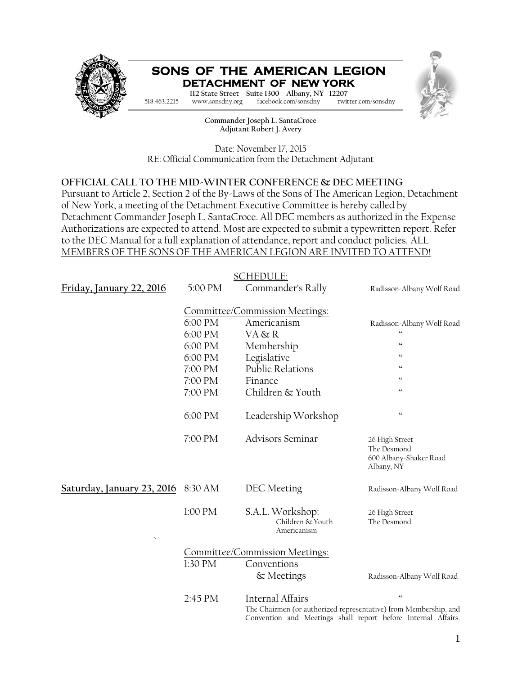

**Commander Joseph L. SantaCroce Adjutant Robert J. Avery**

Date: November 17, 2015 RE: Official Communication from the Detachment Adjutant

#### **OFFICIAL CALL TO THE MID-WINTER CONFERENCE & DEC MEETING**

Pursuant to Article 2, Section 2 of the By-Laws of the Sons of The American Legion, Detachment of New York, a meeting of the Detachment Executive Committee is hereby called by Detachment Commander Joseph L. SantaCroce. All DEC members as authorized in the Expense Authorizations are expected to attend. Most are expected to submit a typewritten report. Refer to the DEC Manual for a full explanation of attendance, report and conduct policies. ALL MEMBERS OF THE SONS OF THE AMERICAN LEGION ARE INVITED TO ATTEND!

|                                |         | <u>SCHEDULE:</u>                                                                                                                                             |                                                                       |  |
|--------------------------------|---------|--------------------------------------------------------------------------------------------------------------------------------------------------------------|-----------------------------------------------------------------------|--|
| Friday, January 22, 2016       | 5:00 PM | Commander's Rally                                                                                                                                            | Radisson-Albany Wolf Road                                             |  |
|                                |         | Committee/Commission Meetings:                                                                                                                               |                                                                       |  |
|                                | 6:00 PM | Americanism                                                                                                                                                  | Radisson-Albany Wolf Road                                             |  |
|                                | 6:00 PM | VA & R                                                                                                                                                       | $\overline{\mathbf{G}}$                                               |  |
|                                | 6:00 PM | Membership                                                                                                                                                   | $\mathsf{cc}$                                                         |  |
|                                | 6:00 PM | Legislative                                                                                                                                                  | $\omega$                                                              |  |
|                                | 7:00 PM | Public Relations                                                                                                                                             | $\boldsymbol{\omega}$                                                 |  |
|                                | 7:00 PM | Finance                                                                                                                                                      | $\omega$                                                              |  |
|                                | 7:00 PM | Children & Youth                                                                                                                                             | $\omega$                                                              |  |
|                                | 6:00 PM | Leadership Workshop                                                                                                                                          | $\boldsymbol{\epsilon}\boldsymbol{\epsilon}$                          |  |
|                                | 7:00 PM | <b>Advisors Seminar</b>                                                                                                                                      | 26 High Street<br>The Desmond<br>600 Albany-Shaker Road<br>Albany, NY |  |
| Saturday, January 23, 2016     | 8:30 AM | DEC Meeting                                                                                                                                                  | Radisson-Albany Wolf Road                                             |  |
|                                | 1:00 PM | S.A.L. Workshop:<br>Children & Youth<br>Americanism                                                                                                          | 26 High Street<br>The Desmond                                         |  |
| Committee/Commission Meetings: |         |                                                                                                                                                              |                                                                       |  |
|                                | 1:30 PM | Conventions                                                                                                                                                  |                                                                       |  |
|                                |         | & Meetings                                                                                                                                                   | Radisson-Albany Wolf Road                                             |  |
|                                | 2:45 PM | <b>Internal Affairs</b><br>The Chairmen (or authorized representative) from Membership, and<br>Convention and Meetings shall report before Internal Affairs. | $\epsilon$                                                            |  |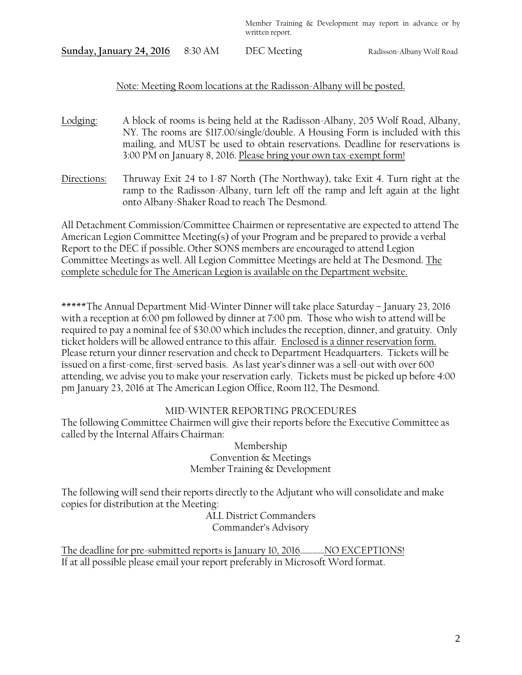**Sunday, January 24, 2016** 8:30 AM DEC Meeting Radisson-Albany Wolf Road

### Note: Meeting Room locations at the Radisson-Albany will be posted.

- Lodging: A block of rooms is being held at the Radisson-Albany, 205 Wolf Road, Albany, NY. The rooms are \$117.00/single/double. A Housing Form is included with this mailing, and MUST be used to obtain reservations. Deadline for reservations is 3:00 PM on January 8, 2016. Please bring your own tax-exempt form!
- Directions: Thruway Exit 24 to I-87 North (The Northway), take Exit 4. Turn right at the ramp to the Radisson-Albany, turn left off the ramp and left again at the light onto Albany-Shaker Road to reach The Desmond.

All Detachment Commission/Committee Chairmen or representative are expected to attend The American Legion Committee Meeting(s) of your Program and be prepared to provide a verbal Report to the DEC if possible. Other SONS members are encouraged to attend Legion Committee Meetings as well. All Legion Committee Meetings are held at The Desmond. The complete schedule for The American Legion is available on the Department website.

\*\*\*\*\*The Annual Department Mid-Winter Dinner will take place Saturday – January 23, 2016 with a reception at 6:00 pm followed by dinner at 7:00 pm. Those who wish to attend will be required to pay a nominal fee of \$30.00 which includes the reception, dinner, and gratuity. Only ticket holders will be allowed entrance to this affair. Enclosed is a dinner reservation form. Please return your dinner reservation and check to Department Headquarters. Tickets will be issued on a first-come, first-served basis. As last year's dinner was a sell-out with over 600 attending, we advise you to make your reservation early. Tickets must be picked up before 4:00 pm January 23, 2016 at The American Legion Office, Room 112, The Desmond.

### MID-WINTER REPORTING PROCEDURES

The following Committee Chairmen will give their reports before the Executive Committee as called by the Internal Affairs Chairman:

> Membership Convention & Meetings Member Training & Development

The following will send their reports directly to the Adjutant who will consolidate and make copies for distribution at the Meeting:

ALL District Commanders Commander's Advisory

The deadline for pre-submitted reports is January 10, 2016…………NO EXCEPTIONS! If at all possible please email your report preferably in Microsoft Word format.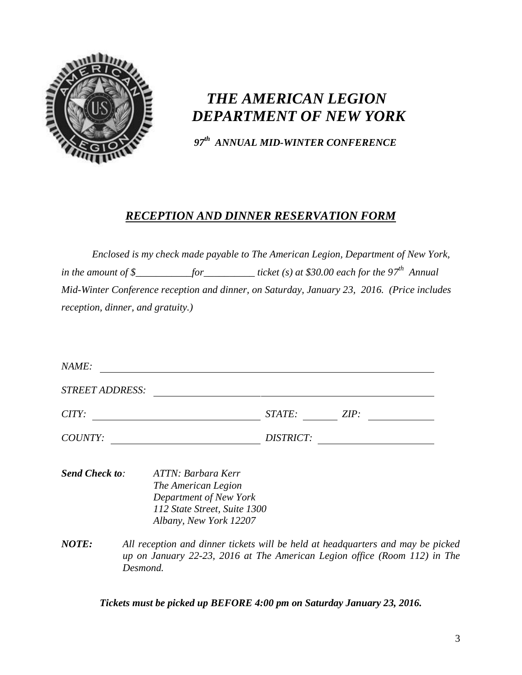

# *THE AMERICAN LEGION DEPARTMENT OF NEW YORK*

*97 th ANNUAL MID-WINTER CONFERENCE*

### *RECEPTION AND DINNER RESERVATION FORM*

*Enclosed is my check made payable to The American Legion, Department of New York, in the amount of \$\_\_\_\_\_\_\_\_\_\_\_for\_\_\_\_\_\_\_\_\_\_\_ticket (s) at \$30.00 each for the 97<sup>th</sup> Annual Mid-Winter Conference reception and dinner, on Saturday, January 23, 2016. (Price includes reception, dinner, and gratuity.)*

| <b>STREET ADDRESS:</b> |                                                                                 |
|------------------------|---------------------------------------------------------------------------------|
| CITY:                  | STATE:<br>ZIP:                                                                  |
| COUNTY:                | DISTRICT:                                                                       |
|                        |                                                                                 |
| <b>Send Check to:</b>  | ATTN: Barbara Kerr                                                              |
|                        | The American Legion                                                             |
|                        | Department of New York                                                          |
|                        | 112 State Street, Suite 1300                                                    |
|                        | Albany, New York 12207                                                          |
| <b>NOTE:</b>           | All reception and dinner tickets will be held at headquarters and may be picked |
|                        | up on January 22-23, 2016 at The American Legion office (Room 112) in The       |
|                        |                                                                                 |

*Tickets must be picked up BEFORE 4:00 pm on Saturday January 23, 2016.*